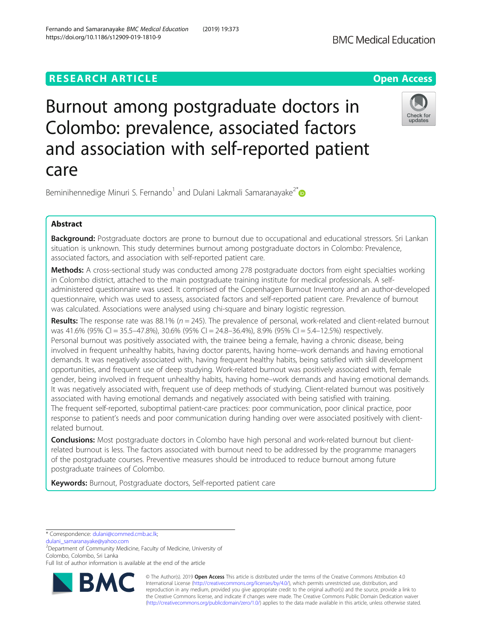# **RESEARCH ARTICLE Example 2014 12:30 The Contract of Contract ACCESS**

# Burnout among postgraduate doctors in Colombo: prevalence, associated factors and association with self-reported patient care

Beminihennedige Minuri S. Fernando<sup>1</sup> and Dulani Lakmali Samaranayake<sup>2\*</sup>

# Abstract

Background: Postgraduate doctors are prone to burnout due to occupational and educational stressors. Sri Lankan situation is unknown. This study determines burnout among postgraduate doctors in Colombo: Prevalence, associated factors, and association with self-reported patient care.

**Methods:** A cross-sectional study was conducted among 278 postgraduate doctors from eight specialties working in Colombo district, attached to the main postgraduate training institute for medical professionals. A selfadministered questionnaire was used. It comprised of the Copenhagen Burnout Inventory and an author-developed questionnaire, which was used to assess, associated factors and self-reported patient care. Prevalence of burnout was calculated. Associations were analysed using chi-square and binary logistic regression.

Results: The response rate was  $88.1\%$  ( $n = 245$ ). The prevalence of personal, work-related and client-related burnout was 41.6% (95% CI = 35.5–47.8%), 30.6% (95% CI = 24.8–36.4%), 8.9% (95% CI = 5.4–12.5%) respectively. Personal burnout was positively associated with, the trainee being a female, having a chronic disease, being involved in frequent unhealthy habits, having doctor parents, having home–work demands and having emotional demands. It was negatively associated with, having frequent healthy habits, being satisfied with skill development opportunities, and frequent use of deep studying. Work-related burnout was positively associated with, female gender, being involved in frequent unhealthy habits, having home–work demands and having emotional demands. It was negatively associated with, frequent use of deep methods of studying. Client-related burnout was positively associated with having emotional demands and negatively associated with being satisfied with training. The frequent self-reported, suboptimal patient-care practices: poor communication, poor clinical practice, poor response to patient's needs and poor communication during handing over were associated positively with clientrelated burnout.

**Conclusions:** Most postgraduate doctors in Colombo have high personal and work-related burnout but clientrelated burnout is less. The factors associated with burnout need to be addressed by the programme managers of the postgraduate courses. Preventive measures should be introduced to reduce burnout among future postgraduate trainees of Colombo.

Keywords: Burnout, Postgraduate doctors, Self-reported patient care

\* Correspondence: [dulani@commed.cmb.ac.lk](mailto:dulani@commed.cmb.ac.lk);

[dulani\\_samaranayake@yahoo.com](mailto:dulani_samaranayake@yahoo.com)

<sup>2</sup> Department of Community Medicine, Faculty of Medicine, University of Colombo, Colombo, Sri Lanka





© The Author(s). 2019 **Open Access** This article is distributed under the terms of the Creative Commons Attribution 4.0

International License [\(http://creativecommons.org/licenses/by/4.0/](http://creativecommons.org/licenses/by/4.0/)), which permits unrestricted use, distribution, and reproduction in any medium, provided you give appropriate credit to the original author(s) and the source, provide a link to the Creative Commons license, and indicate if changes were made. The Creative Commons Public Domain Dedication waiver [\(http://creativecommons.org/publicdomain/zero/1.0/](http://creativecommons.org/publicdomain/zero/1.0/)) applies to the data made available in this article, unless otherwise stated.



Full list of author information is available at the end of the article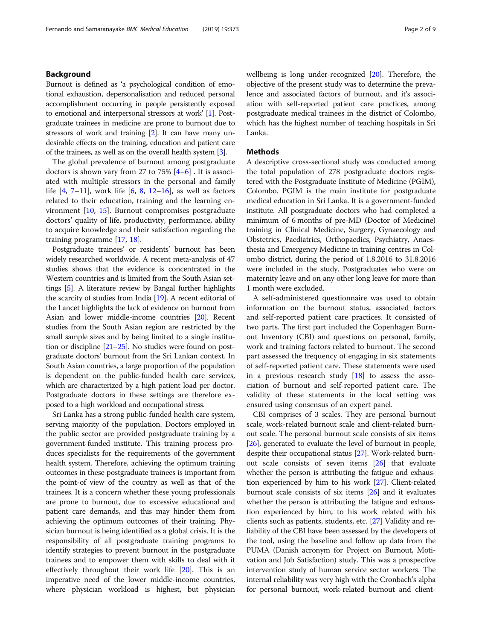# Background

Burnout is defined as 'a psychological condition of emotional exhaustion, depersonalisation and reduced personal accomplishment occurring in people persistently exposed to emotional and interpersonal stressors at work' [\[1\]](#page-7-0). Postgraduate trainees in medicine are prone to burnout due to stressors of work and training [[2](#page-7-0)]. It can have many undesirable effects on the training, education and patient care of the trainees, as well as on the overall health system [\[3\]](#page-7-0).

The global prevalence of burnout among postgraduate doctors is shown vary from 27 to 75% [[4](#page-7-0)–[6](#page-7-0)] . It is associated with multiple stressors in the personal and family life  $[4, 7-11]$  $[4, 7-11]$  $[4, 7-11]$  $[4, 7-11]$  $[4, 7-11]$ , work life  $[6, 8, 12-16]$  $[6, 8, 12-16]$  $[6, 8, 12-16]$  $[6, 8, 12-16]$  $[6, 8, 12-16]$  $[6, 8, 12-16]$  $[6, 8, 12-16]$  $[6, 8, 12-16]$ , as well as factors related to their education, training and the learning environment [\[10](#page-7-0), [15](#page-7-0)]. Burnout compromises postgraduate doctors' quality of life, productivity, performance, ability to acquire knowledge and their satisfaction regarding the training programme [\[17,](#page-7-0) [18\]](#page-7-0).

Postgraduate trainees' or residents' burnout has been widely researched worldwide. A recent meta-analysis of 47 studies shows that the evidence is concentrated in the Western countries and is limited from the South Asian settings [[5](#page-7-0)]. A literature review by Bangal further highlights the scarcity of studies from India [\[19\]](#page-7-0). A recent editorial of the Lancet highlights the lack of evidence on burnout from Asian and lower middle-income countries [\[20\]](#page-7-0). Recent studies from the South Asian region are restricted by the small sample sizes and by being limited to a single institution or discipline [\[21](#page-7-0)–[25](#page-7-0)]. No studies were found on postgraduate doctors' burnout from the Sri Lankan context. In South Asian countries, a large proportion of the population is dependent on the public-funded health care services, which are characterized by a high patient load per doctor. Postgraduate doctors in these settings are therefore exposed to a high workload and occupational stress.

Sri Lanka has a strong public-funded health care system, serving majority of the population. Doctors employed in the public sector are provided postgraduate training by a government-funded institute. This training process produces specialists for the requirements of the government health system. Therefore, achieving the optimum training outcomes in these postgraduate trainees is important from the point-of view of the country as well as that of the trainees. It is a concern whether these young professionals are prone to burnout, due to excessive educational and patient care demands, and this may hinder them from achieving the optimum outcomes of their training. Physician burnout is being identified as a global crisis. It is the responsibility of all postgraduate training programs to identify strategies to prevent burnout in the postgraduate trainees and to empower them with skills to deal with it effectively throughout their work life [[20](#page-7-0)]. This is an imperative need of the lower middle-income countries, where physician workload is highest, but physician wellbeing is long under-recognized [\[20](#page-7-0)]. Therefore, the objective of the present study was to determine the prevalence and associated factors of burnout, and it's association with self-reported patient care practices, among postgraduate medical trainees in the district of Colombo, which has the highest number of teaching hospitals in Sri Lanka.

# **Methods**

A descriptive cross-sectional study was conducted among the total population of 278 postgraduate doctors registered with the Postgraduate Institute of Medicine (PGIM), Colombo. PGIM is the main institute for postgraduate medical education in Sri Lanka. It is a government-funded institute. All postgraduate doctors who had completed a minimum of 6 months of pre-MD (Doctor of Medicine) training in Clinical Medicine, Surgery, Gynaecology and Obstetrics, Paediatrics, Orthopaedics, Psychiatry, Anaesthesia and Emergency Medicine in training centres in Colombo district, during the period of 1.8.2016 to 31.8.2016 were included in the study. Postgraduates who were on maternity leave and on any other long leave for more than 1 month were excluded.

A self-administered questionnaire was used to obtain information on the burnout status, associated factors and self-reported patient care practices. It consisted of two parts. The first part included the Copenhagen Burnout Inventory (CBI) and questions on personal, family, work and training factors related to burnout. The second part assessed the frequency of engaging in six statements of self-reported patient care. These statements were used in a previous research study  $[18]$  $[18]$  to assess the association of burnout and self-reported patient care. The validity of these statements in the local setting was ensured using consensus of an expert panel.

CBI comprises of 3 scales. They are personal burnout scale, work-related burnout scale and client-related burnout scale. The personal burnout scale consists of six items [[26](#page-7-0)], generated to evaluate the level of burnout in people, despite their occupational status [\[27\]](#page-7-0). Work-related burnout scale consists of seven items [\[26\]](#page-7-0) that evaluate whether the person is attributing the fatigue and exhaustion experienced by him to his work [[27](#page-7-0)]. Client-related burnout scale consists of six items [[26](#page-7-0)] and it evaluates whether the person is attributing the fatigue and exhaustion experienced by him, to his work related with his clients such as patients, students, etc. [\[27\]](#page-7-0) Validity and reliability of the CBI have been assessed by the developers of the tool, using the baseline and follow up data from the PUMA (Danish acronym for Project on Burnout, Motivation and Job Satisfaction) study. This was a prospective intervention study of human service sector workers. The internal reliability was very high with the Cronbach's alpha for personal burnout, work-related burnout and client-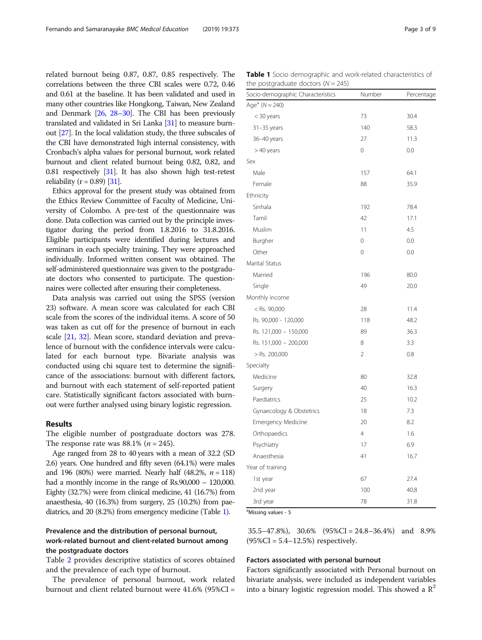related burnout being 0.87, 0.87, 0.85 respectively. The correlations between the three CBI scales were 0.72, 0.46 and 0.61 at the baseline. It has been validated and used in many other countries like Hongkong, Taiwan, New Zealand and Denmark [\[26](#page-7-0), [28](#page-7-0)–[30\]](#page-7-0). The CBI has been previously translated and validated in Sri Lanka [\[31\]](#page-7-0) to measure burnout [[27\]](#page-7-0). In the local validation study, the three subscales of the CBI have demonstrated high internal consistency, with Cronbach's alpha values for personal burnout, work related burnout and client related burnout being 0.82, 0.82, and 0.81 respectively [\[31](#page-7-0)]. It has also shown high test-retest reliability ( $r = 0.89$ ) [[31](#page-7-0)].

Ethics approval for the present study was obtained from the Ethics Review Committee of Faculty of Medicine, University of Colombo. A pre-test of the questionnaire was done. Data collection was carried out by the principle investigator during the period from 1.8.2016 to 31.8.2016. Eligible participants were identified during lectures and seminars in each specialty training. They were approached individually. Informed written consent was obtained. The self-administered questionnaire was given to the postgraduate doctors who consented to participate. The questionnaires were collected after ensuring their completeness.

Data analysis was carried out using the SPSS (version 23) software. A mean score was calculated for each CBI scale from the scores of the individual items. A score of 50 was taken as cut off for the presence of burnout in each scale [\[21](#page-7-0), [32](#page-7-0)]. Mean score, standard deviation and prevalence of burnout with the confidence intervals were calculated for each burnout type. Bivariate analysis was conducted using chi square test to determine the significance of the associations: burnout with different factors, and burnout with each statement of self-reported patient care. Statistically significant factors associated with burnout were further analysed using binary logistic regression.

#### Results

The eligible number of postgraduate doctors was 278. The response rate was  $88.1\%$  (*n* = 245).

Age ranged from 28 to 40 years with a mean of 32.2 (SD 2.6) years. One hundred and fifty seven (64.1%) were males and 196 (80%) were married. Nearly half (48.2%,  $n = 118$ ) had a monthly income in the range of Rs.90,000 – 120,000. Eighty (32.7%) were from clinical medicine, 41 (16.7%) from anaesthesia, 40 (16.3%) from surgery, 25 (10.2%) from paediatrics, and 20 (8.2%) from emergency medicine (Table 1).

# Prevalence and the distribution of personal burnout, work-related burnout and client-related burnout among the postgraduate doctors

Table [2](#page-3-0) provides descriptive statistics of scores obtained and the prevalence of each type of burnout.

The prevalence of personal burnout, work related burnout and client related burnout were 41.6% (95%CI =

| <b>Table 1</b> Socio demographic and work-related characteristics of |  |
|----------------------------------------------------------------------|--|
| the postgraduate doctors $(N = 245)$                                 |  |

| Socio-demographic Characteristics | Number         | Percentage |
|-----------------------------------|----------------|------------|
| Age <sup>a</sup> ( $N = 240$ )    |                |            |
| $<$ 30 years                      | 73             | 30.4       |
| $31 - 35$ years                   | 140            | 58.3       |
| 36-40 years                       | 27             | 11.3       |
| > 40 years                        | $\mathbf 0$    | 0.0        |
| Sex                               |                |            |
| Male                              | 157            | 64.1       |
| Female                            | 88             | 35.9       |
| Ethnicity                         |                |            |
| Sinhala                           | 192            | 78.4       |
| Tamil                             | 42             | 17.1       |
| Muslim                            | 11             | 4.5        |
| Burgher                           | $\overline{O}$ | 0.0        |
| Other                             | 0              | 0.0        |
| Marital Status                    |                |            |
| Married                           | 196            | 80.0       |
| Single                            | 49             | 20.0       |
| Monthly income                    |                |            |
| $<$ Rs. 90,000                    | 28             | 11.4       |
| Rs. 90,000 - 120,000              | 118            | 48.2       |
| Rs. 121,000 - 150,000             | 89             | 36.3       |
| Rs. 151,000 - 200,000             | 8              | 3.3        |
| $>$ Rs. 200,000                   | $\overline{2}$ | 0.8        |
| Specialty                         |                |            |
| Medicine                          | 80             | 32.8       |
| Surgery                           | 40             | 16.3       |
| Paediatrics                       | 25             | 10.2       |
| Gynaecology & Obstetrics          | 18             | 7.3        |
| Emergency Medicine                | 20             | 8.2        |
| Orthopaedics                      | $\overline{4}$ | 1.6        |
| Psychiatry                        | 17             | 6.9        |
| Anaesthesia                       | 41             | 16.7       |
| Year of training                  |                |            |
| 1st year                          | 67             | 27.4       |
| 2nd year                          | 100            | 40.8       |
| 3rd year                          | 78             | 31.8       |

<sup>a</sup>Missing values - 5

 $35.5-47.8\%$ ,  $30.6\%$   $(95\%CI = 24.8-36.4\%)$  and  $8.9\%$  $(95\%CI = 5.4 - 12.5\%)$  respectively.

#### Factors associated with personal burnout

Factors significantly associated with Personal burnout on bivariate analysis, were included as independent variables into a binary logistic regression model. This showed a  $\mathbb{R}^2$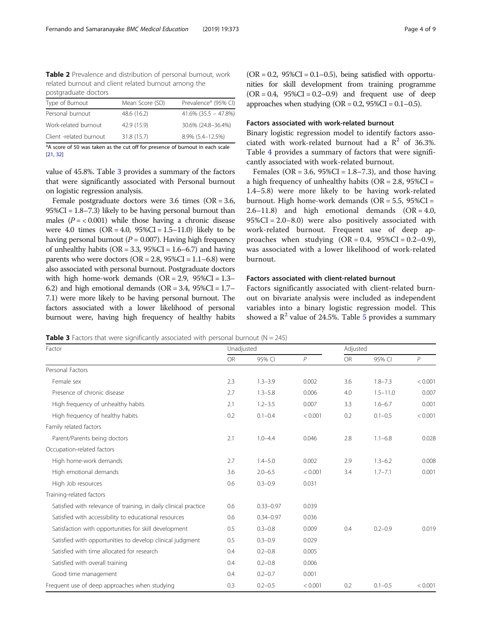<span id="page-3-0"></span>Table 2 Prevalence and distribution of personal burnout, work related burnout and client related burnout among the postgraduate doctors

| Type of Burnout         | Mean Score (SD) | Prevalence <sup>a</sup> (95% CI) |
|-------------------------|-----------------|----------------------------------|
| Personal burnout        | 48.6 (16.2)     | $41.6\%$ (35.5 - 47.8%)          |
| Work-related burnout    | 42.9 (15.9)     | 30.6% (24.8-36.4%)               |
| Client -related burnout | 31.8 (15.7)     | 8.9% (5.4-12.5%)                 |
|                         |                 |                                  |

<sup>a</sup>A score of 50 was taken as the cut off for presence of burnout in each scale [[21,](#page-7-0) [32](#page-7-0)]

value of 45.8%. Table 3 provides a summary of the factors that were significantly associated with Personal burnout on logistic regression analysis.

Female postgraduate doctors were 3.6 times (OR = 3.6,  $95\%CI = 1.8 - 7.3$ ) likely to be having personal burnout than males  $(P = < 0.001)$  while those having a chronic disease were 4.0 times  $(OR = 4.0, 95\% CI = 1.5-11.0)$  likely to be having personal burnout ( $P = 0.007$ ). Having high frequency of unhealthy habits ( $OR = 3.3$ ,  $95\%CI = 1.6 - 6.7$ ) and having parents who were doctors ( $OR = 2.8$ ,  $95\%CI = 1.1 - 6.8$ ) were also associated with personal burnout. Postgraduate doctors with high home-work demands  $(OR = 2.9, 95\% CI = 1.3-$ 6.2) and high emotional demands ( $OR = 3.4$ ,  $95\%CI = 1.7$ -7.1) were more likely to be having personal burnout. The factors associated with a lower likelihood of personal burnout were, having high frequency of healthy habits  $(OR = 0.2, 95\%CI = 0.1 - 0.5)$ , being satisfied with opportunities for skill development from training programme  $(OR = 0.4, 95\% CI = 0.2 - 0.9)$  and frequent use of deep approaches when studying  $(OR = 0.2, 95\%CI = 0.1 - 0.5)$ .

# Factors associated with work-related burnout

Binary logistic regression model to identify factors associated with work-related burnout had a  $\mathbb{R}^2$  of 36.3%. Table [4](#page-4-0) provides a summary of factors that were significantly associated with work-related burnout.

Females ( $OR = 3.6$ ,  $95\%CI = 1.8 - 7.3$ ), and those having a high frequency of unhealthy habits ( $OR = 2.8$ ,  $95\%CI =$ 1.4–5.8) were more likely to be having work-related burnout. High home-work demands (OR = 5.5, 95%CI = 2.6–11.8) and high emotional demands  $(OR = 4.0,$ 95%CI = 2.0–8.0) were also positively associated with work-related burnout. Frequent use of deep approaches when studying  $(OR = 0.4, 95\%CI = 0.2-0.9)$ , was associated with a lower likelihood of work-related burnout.

# Factors associated with client-related burnout

Factors significantly associated with client-related burnout on bivariate analysis were included as independent variables into a binary logistic regression model. This showed a  $\mathbb{R}^2$  value of 24.[5](#page-4-0)%. Table 5 provides a summary

**Table 3** Factors that were significantly associated with personal burnout ( $N = 245$ )

| Factor                                                           | Unadjusted |               |         | Adjusted  |              |         |
|------------------------------------------------------------------|------------|---------------|---------|-----------|--------------|---------|
|                                                                  | <b>OR</b>  | 95% CI        | P       | <b>OR</b> | 95% CI       | P       |
| Personal Factors                                                 |            |               |         |           |              |         |
| Female sex                                                       | 2.3        | $1.3 - 3.9$   | 0.002   | 3.6       | $1.8 - 7.3$  | < 0.001 |
| Presence of chronic disease                                      | 2.7        | $1.3 - 5.8$   | 0.006   | 4.0       | $1.5 - 11.0$ | 0.007   |
| High frequency of unhealthy habits                               | 2.1        | $1.2 - 3.5$   | 0.007   | 3.3       | $1.6 - 6.7$  | 0.001   |
| High frequency of healthy habits                                 | 0.2        | $0.1 - 0.4$   | < 0.001 | 0.2       | $0.1 - 0.5$  | < 0.001 |
| Family related factors                                           |            |               |         |           |              |         |
| Parent/Parents being doctors                                     | 2.1        | $1.0 - 4.4$   | 0.046   | 2.8       | $1.1 - 6.8$  | 0.028   |
| Occupation-related factors                                       |            |               |         |           |              |         |
| High home-work demands                                           | 2.7        | $1.4 - 5.0$   | 0.002   | 2.9       | $1.3 - 6.2$  | 0.008   |
| High emotional demands                                           | 3.6        | $2.0 - 6.5$   | < 0.001 | 3.4       | $1.7 - 7.1$  | 0.001   |
| High Job resources                                               | 0.6        | $0.3 - 0.9$   | 0.031   |           |              |         |
| Training-related factors                                         |            |               |         |           |              |         |
| Satisfied with relevance of training, in daily clinical practice | 0.6        | $0.33 - 0.97$ | 0.039   |           |              |         |
| Satisfied with accessibility to educational resources            | 0.6        | $0.34 - 0.97$ | 0.036   |           |              |         |
| Satisfaction with opportunities for skill development            | 0.5        | $0.3 - 0.8$   | 0.009   | 0.4       | $0.2 - 0.9$  | 0.019   |
| Satisfied with opportunities to develop clinical judgment        | 0.5        | $0.3 - 0.9$   | 0.029   |           |              |         |
| Satisfied with time allocated for research                       | 0.4        | $0.2 - 0.8$   | 0.005   |           |              |         |
| Satisfied with overall training                                  | 0.4        | $0.2 - 0.8$   | 0.006   |           |              |         |
| Good time management                                             | 0.4        | $0.2 - 0.7$   | 0.001   |           |              |         |
| Frequent use of deep approaches when studying                    | 0.3        | $0.2 - 0.5$   | < 0.001 | 0.2       | $0.1 - 0.5$  | < 0.001 |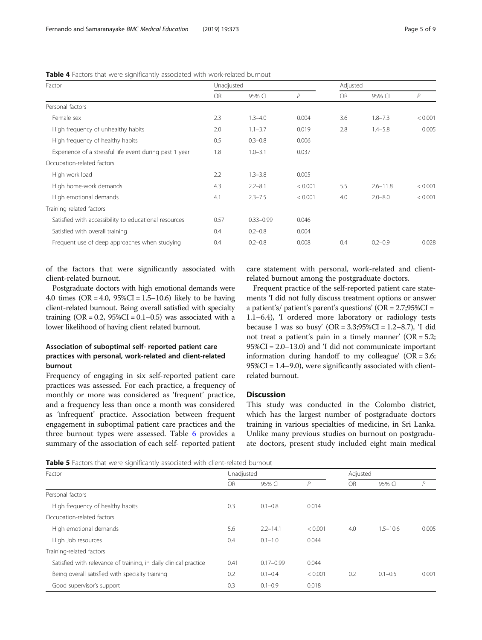| Factor                                                  | Unadjusted |               |                |           | Adjusted     |                |  |
|---------------------------------------------------------|------------|---------------|----------------|-----------|--------------|----------------|--|
|                                                         | <b>OR</b>  | 95% CI        | $\overline{P}$ | <b>OR</b> | 95% CI       | $\overline{P}$ |  |
| Personal factors                                        |            |               |                |           |              |                |  |
| Female sex                                              | 2.3        | $1.3 - 4.0$   | 0.004          | 3.6       | $1.8 - 7.3$  | < 0.001        |  |
| High frequency of unhealthy habits                      | 2.0        | $1.1 - 3.7$   | 0.019          | 2.8       | $1.4 - 5.8$  | 0.005          |  |
| High frequency of healthy habits                        | 0.5        | $0.3 - 0.8$   | 0.006          |           |              |                |  |
| Experience of a stressful life event during past 1 year | 1.8        | $1.0 - 3.1$   | 0.037          |           |              |                |  |
| Occupation-related factors                              |            |               |                |           |              |                |  |
| High work load                                          | 2.2        | $1.3 - 3.8$   | 0.005          |           |              |                |  |
| High home-work demands                                  | 4.3        | $2.2 - 8.1$   | < 0.001        | 5.5       | $2.6 - 11.8$ | < 0.001        |  |
| High emotional demands                                  | 4.1        | $2.3 - 7.5$   | < 0.001        | 4.0       | $2.0 - 8.0$  | < 0.001        |  |
| Training related factors                                |            |               |                |           |              |                |  |
| Satisfied with accessibility to educational resources   | 0.57       | $0.33 - 0.99$ | 0.046          |           |              |                |  |
| Satisfied with overall training                         | 0.4        | $0.2 - 0.8$   | 0.004          |           |              |                |  |
| Frequent use of deep approaches when studying           | 0.4        | $0.2 - 0.8$   | 0.008          | 0.4       | $0.2 - 0.9$  | 0.028          |  |

<span id="page-4-0"></span>Table 4 Factors that were significantly associated with work-related burnout

of the factors that were significantly associated with client-related burnout.

Postgraduate doctors with high emotional demands were 4.0 times (OR = 4.0,  $95\%CI = 1.5-10.6$ ) likely to be having client-related burnout. Being overall satisfied with specialty training  $(OR = 0.2, 95\%CI = 0.1 - 0.5)$  was associated with a lower likelihood of having client related burnout.

# Association of suboptimal self- reported patient care practices with personal, work-related and client-related burnout

Frequency of engaging in six self-reported patient care practices was assessed. For each practice, a frequency of monthly or more was considered as 'frequent' practice, and a frequency less than once a month was considered as 'infrequent' practice. Association between frequent engagement in suboptimal patient care practices and the three burnout types were assessed. Table [6](#page-5-0) provides a summary of the association of each self- reported patient

care statement with personal, work-related and clientrelated burnout among the postgraduate doctors.

Frequent practice of the self-reported patient care statements 'I did not fully discuss treatment options or answer a patient's/ patient's parent's questions' (OR = 2.7;95%CI = 1.1–6.4), 'I ordered more laboratory or radiology tests because I was so busy'  $(OR = 3.3; 95\% CI = 1.2 - 8.7)$ , 'I did not treat a patient's pain in a timely manner'  $(OR = 5.2;$ 95%CI = 2.0–13.0) and 'I did not communicate important information during handoff to my colleague'  $(OR = 3.6;$ 95%CI = 1.4–9.0), were significantly associated with clientrelated burnout.

# **Discussion**

This study was conducted in the Colombo district, which has the largest number of postgraduate doctors training in various specialties of medicine, in Sri Lanka. Unlike many previous studies on burnout on postgraduate doctors, present study included eight main medical

**Table 5** Factors that were significantly associated with client-related burnout

| Factor                                                           | Unadjusted |               |         | Adjusted |              |       |
|------------------------------------------------------------------|------------|---------------|---------|----------|--------------|-------|
|                                                                  | OR         | 95% CI        | P       | OR       | 95% CI       | Р     |
| Personal factors                                                 |            |               |         |          |              |       |
| High frequency of healthy habits                                 | 0.3        | $0.1 - 0.8$   | 0.014   |          |              |       |
| Occupation-related factors                                       |            |               |         |          |              |       |
| High emotional demands                                           | 5.6        | $2.2 - 14.1$  | < 0.001 | 4.0      | $1.5 - 10.6$ | 0.005 |
| High Job resources                                               | 0.4        | $0.1 - 1.0$   | 0.044   |          |              |       |
| Training-related factors                                         |            |               |         |          |              |       |
| Satisfied with relevance of training, in daily clinical practice | 0.41       | $0.17 - 0.99$ | 0.044   |          |              |       |
| Being overall satisfied with specialty training                  | 0.2        | $0.1 - 0.4$   | < 0.001 | 0.2      | $0.1 - 0.5$  | 0.001 |
| Good supervisor's support                                        | 0.3        | $0.1 - 0.9$   | 0.018   |          |              |       |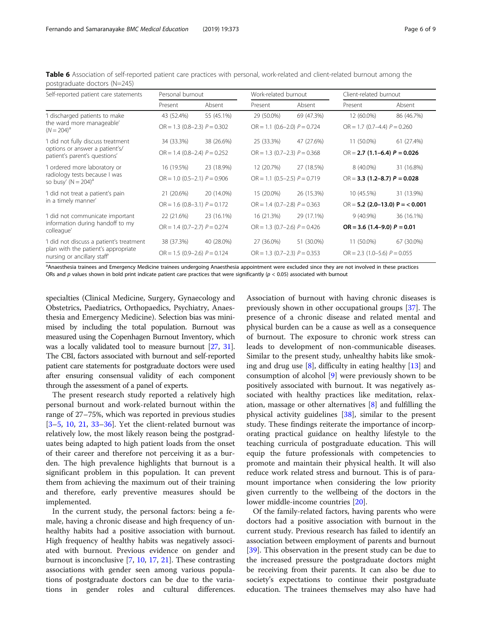<span id="page-5-0"></span>Table 6 Association of self-reported patient care practices with personal, work-related and client-related burnout among the postgraduate doctors (N=245)

| Self-reported patient care statements                                                                         | Personal burnout                 |            | Work-related burnout             |                                  | Client-related burnout            |                                  |  |
|---------------------------------------------------------------------------------------------------------------|----------------------------------|------------|----------------------------------|----------------------------------|-----------------------------------|----------------------------------|--|
|                                                                                                               | Present                          | Absent     | Present                          | Absent                           | Present                           | Absent                           |  |
| 'I discharged patients to make                                                                                | 43 (52.4%)                       | 55 (45.1%) | 29 (50.0%)                       | 69 (47.3%)                       | 12 (60.0%)                        | 86 (46.7%)                       |  |
| the ward more manageable'<br>$(N = 204)^{a}$                                                                  | $OR = 1.3$ (0.8-2.3) $P = 0.302$ |            |                                  | $OR = 1.1$ (0.6-2.0) $P = 0.724$ |                                   | $OR = 1.7$ (0.7–4.4) $P = 0.260$ |  |
| 'I did not fully discuss treatment                                                                            | 34 (33.3%)                       | 38 (26.6%) | 25 (33.3%)                       | 47 (27.6%)                       | 11 (50.0%)                        | 61 (27.4%)                       |  |
| options or answer a patient's/<br>patient's parent's questions'                                               | $OR = 1.4$ (0.8-2.4) $P = 0.252$ |            | $OR = 1.3$ (0.7–2.3) $P = 0.368$ |                                  | $OR = 2.7$ (1.1–6.4) $P = 0.026$  |                                  |  |
| 'I ordered more laboratory or<br>radiology tests because I was<br>so busy' $(N = 204)^a$                      | 16 (19.5%)                       | 23 (18.9%) | 12 (20.7%)                       | 27 (18.5%)                       | 8 (40.0%)                         | 31 (16.8%)                       |  |
|                                                                                                               | $OR = 1.0$ (0.5-2.1) $P = 0.906$ |            | $OR = 1.1$ (0.5-2.5) $P = 0.719$ |                                  | $OR = 3.3$ (1.2–8.7) $P = 0.028$  |                                  |  |
| 'I did not treat a patient's pain<br>in a timely manner'                                                      | 21 (20.6%)                       | 20 (14.0%) | 15 (20.0%)                       | 26 (15.3%)                       | 10 (45.5%)                        | 31 (13.9%)                       |  |
|                                                                                                               | $OR = 1.6 (0.8 - 3.1) P = 0.172$ |            | $OR = 1.4$ (0.7-2.8) $P = 0.363$ |                                  | $OR = 5.2$ (2.0-13.0) P = < 0.001 |                                  |  |
| 'I did not communicate important<br>information during handoff to my<br>colleague'                            | 22 (21.6%)                       | 23 (16.1%) | 16 (21.3%)                       | 29 (17.1%)                       | $9(40.9\%)$                       | 36 (16.1%)                       |  |
|                                                                                                               | $OR = 1.4$ (0.7-2.7) $P = 0.274$ |            | $OR = 1.3$ (0.7-2.6) $P = 0.426$ |                                  | $OR = 3.6$ (1.4–9.0) $P = 0.01$   |                                  |  |
| 'I did not discuss a patient's treatment<br>plan with the patient's appropriate<br>nursing or ancillary staff | 38 (37.3%)                       | 40 (28.0%) | 27 (36.0%)                       | 51 (30.0%)                       | 11 (50.0%)                        | 67 (30.0%)                       |  |
|                                                                                                               | $OR = 1.5 (0.9 - 2.6) P = 0.124$ |            | $OR = 1.3$ (0.7–2.3) $P = 0.353$ |                                  | $OR = 2.3$ (1.0-5.6) $P = 0.055$  |                                  |  |

<sup>a</sup>Anaesthesia trainees and Emergency Medicine trainees undergoing Anaesthesia appointment were excluded since they are not involved in these practices ORs and  $p$  values shown in bold print indicate patient care practices that were significantly ( $p < 0.05$ ) associated with burnout

specialties (Clinical Medicine, Surgery, Gynaecology and Obstetrics, Paediatrics, Orthopaedics, Psychiatry, Anaesthesia and Emergency Medicine). Selection bias was minimised by including the total population. Burnout was measured using the Copenhagen Burnout Inventory, which was a locally validated tool to measure burnout [\[27,](#page-7-0) [31](#page-7-0)]. The CBI, factors associated with burnout and self-reported patient care statements for postgraduate doctors were used after ensuring consensual validity of each component through the assessment of a panel of experts.

The present research study reported a relatively high personal burnout and work-related burnout within the range of 27–75%, which was reported in previous studies [[3](#page-7-0)–[5,](#page-7-0) [10](#page-7-0), [21,](#page-7-0) [33](#page-7-0)–[36](#page-7-0)]. Yet the client-related burnout was relatively low, the most likely reason being the postgraduates being adapted to high patient loads from the onset of their career and therefore not perceiving it as a burden. The high prevalence highlights that burnout is a significant problem in this population. It can prevent them from achieving the maximum out of their training and therefore, early preventive measures should be implemented.

In the current study, the personal factors: being a female, having a chronic disease and high frequency of unhealthy habits had a positive association with burnout. High frequency of healthy habits was negatively associated with burnout. Previous evidence on gender and burnout is inconclusive [[7,](#page-7-0) [10,](#page-7-0) [17,](#page-7-0) [21\]](#page-7-0). These contrasting associations with gender seen among various populations of postgraduate doctors can be due to the variations in gender roles and cultural differences.

Association of burnout with having chronic diseases is previously shown in other occupational groups [\[37\]](#page-7-0). The presence of a chronic disease and related mental and physical burden can be a cause as well as a consequence of burnout. The exposure to chronic work stress can leads to development of non-communicable diseases. Similar to the present study, unhealthy habits like smoking and drug use [\[8](#page-7-0)], difficulty in eating healthy [\[13](#page-7-0)] and consumption of alcohol [[9\]](#page-7-0) were previously shown to be positively associated with burnout. It was negatively associated with healthy practices like meditation, relaxation, massage or other alternatives [\[8](#page-7-0)] and fulfilling the physical activity guidelines [\[38\]](#page-7-0), similar to the present study. These findings reiterate the importance of incorporating practical guidance on healthy lifestyle to the teaching curricula of postgraduate education. This will equip the future professionals with competencies to promote and maintain their physical health. It will also reduce work related stress and burnout. This is of paramount importance when considering the low priority given currently to the wellbeing of the doctors in the lower middle-income countries [[20\]](#page-7-0).

Of the family-related factors, having parents who were doctors had a positive association with burnout in the current study. Previous research has failed to identify an association between employment of parents and burnout [[39\]](#page-8-0). This observation in the present study can be due to the increased pressure the postgraduate doctors might be receiving from their parents. It can also be due to society's expectations to continue their postgraduate education. The trainees themselves may also have had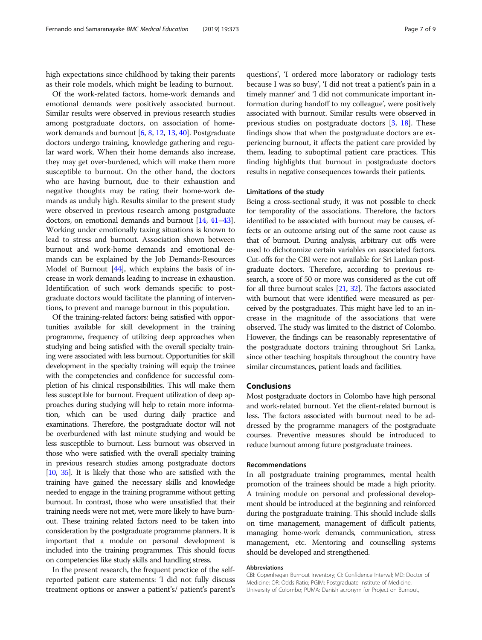Of the work-related factors, home-work demands and emotional demands were positively associated burnout. Similar results were observed in previous research studies among postgraduate doctors, on association of homework demands and burnout [[6](#page-7-0), [8,](#page-7-0) [12](#page-7-0), [13,](#page-7-0) [40\]](#page-8-0). Postgraduate doctors undergo training, knowledge gathering and regular ward work. When their home demands also increase, they may get over-burdened, which will make them more susceptible to burnout. On the other hand, the doctors who are having burnout, due to their exhaustion and negative thoughts may be rating their home-work demands as unduly high. Results similar to the present study were observed in previous research among postgraduate doctors, on emotional demands and burnout [\[14,](#page-7-0) [41](#page-8-0)–[43](#page-8-0)]. Working under emotionally taxing situations is known to lead to stress and burnout. Association shown between burnout and work-home demands and emotional demands can be explained by the Job Demands-Resources Model of Burnout [[44](#page-8-0)], which explains the basis of increase in work demands leading to increase in exhaustion. Identification of such work demands specific to postgraduate doctors would facilitate the planning of interventions, to prevent and manage burnout in this population.

Of the training-related factors: being satisfied with opportunities available for skill development in the training programme, frequency of utilizing deep approaches when studying and being satisfied with the overall specialty training were associated with less burnout. Opportunities for skill development in the specialty training will equip the trainee with the competencies and confidence for successful completion of his clinical responsibilities. This will make them less susceptible for burnout. Frequent utilization of deep approaches during studying will help to retain more information, which can be used during daily practice and examinations. Therefore, the postgraduate doctor will not be overburdened with last minute studying and would be less susceptible to burnout. Less burnout was observed in those who were satisfied with the overall specialty training in previous research studies among postgraduate doctors [[10,](#page-7-0) [35\]](#page-7-0). It is likely that those who are satisfied with the training have gained the necessary skills and knowledge needed to engage in the training programme without getting burnout. In contrast, those who were unsatisfied that their training needs were not met, were more likely to have burnout. These training related factors need to be taken into consideration by the postgraduate programme planners. It is important that a module on personal development is included into the training programmes. This should focus on competencies like study skills and handling stress.

In the present research, the frequent practice of the selfreported patient care statements: 'I did not fully discuss treatment options or answer a patient's/ patient's parent's

questions', 'I ordered more laboratory or radiology tests because I was so busy', 'I did not treat a patient's pain in a timely manner' and 'I did not communicate important information during handoff to my colleague', were positively associated with burnout. Similar results were observed in previous studies on postgraduate doctors [[3,](#page-7-0) [18\]](#page-7-0). These findings show that when the postgraduate doctors are experiencing burnout, it affects the patient care provided by them, leading to suboptimal patient care practices. This finding highlights that burnout in postgraduate doctors results in negative consequences towards their patients.

#### Limitations of the study

Being a cross-sectional study, it was not possible to check for temporality of the associations. Therefore, the factors identified to be associated with burnout may be causes, effects or an outcome arising out of the same root cause as that of burnout. During analysis, arbitrary cut offs were used to dichotomize certain variables on associated factors. Cut-offs for the CBI were not available for Sri Lankan postgraduate doctors. Therefore, according to previous research, a score of 50 or more was considered as the cut off for all three burnout scales [\[21,](#page-7-0) [32](#page-7-0)]. The factors associated with burnout that were identified were measured as perceived by the postgraduates. This might have led to an increase in the magnitude of the associations that were observed. The study was limited to the district of Colombo. However, the findings can be reasonably representative of the postgraduate doctors training throughout Sri Lanka, since other teaching hospitals throughout the country have similar circumstances, patient loads and facilities.

# Conclusions

Most postgraduate doctors in Colombo have high personal and work-related burnout. Yet the client-related burnout is less. The factors associated with burnout need to be addressed by the programme managers of the postgraduate courses. Preventive measures should be introduced to reduce burnout among future postgraduate trainees.

### Recommendations

In all postgraduate training programmes, mental health promotion of the trainees should be made a high priority. A training module on personal and professional development should be introduced at the beginning and reinforced during the postgraduate training. This should include skills on time management, management of difficult patients, managing home-work demands, communication, stress management, etc. Mentoring and counselling systems should be developed and strengthened.

#### Abbreviations

CBI: Copenhegan Burnout Inventory; CI: Confidence Interval; MD: Doctor of Medicine; OR: Odds Ratio; PGIM: Postgraduate Institute of Medicine, University of Colombo; PUMA: Danish acronym for Project on Burnout,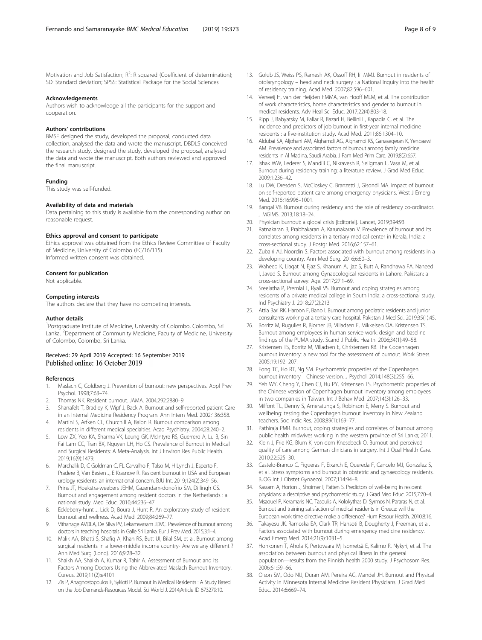<span id="page-7-0"></span>Motivation and Job Satisfaction;  $R^2$ : R squared (Coefficient of determination); SD: Standard deviation; SPSS: Statistical Package for the Social Sciences

#### Acknowledgements

Authors wish to acknowledge all the participants for the support and cooperation.

#### Authors' contributions

BMSF designed the study, developed the proposal, conducted data collection, analysed the data and wrote the manuscript. DBDLS conceived the research study, designed the study, developed the proposal, analysed the data and wrote the manuscript. Both authors reviewed and approved the final manuscript.

# Funding

This study was self-funded.

#### Availability of data and materials

Data pertaining to this study is available from the corresponding author on reasonable request.

#### Ethics approval and consent to participate

Ethics approval was obtained from the Ethics Review Committee of Faculty of Medicine, University of Colombo (EC/16/115). Informed written consent was obtained.

#### Consent for publication

Not applicable.

#### Competing interests

The authors declare that they have no competing interests.

#### Author details

<sup>1</sup>Postgraduate Institute of Medicine, University of Colombo, Colombo, Sri Lanka. <sup>2</sup>Department of Community Medicine, Faculty of Medicine, University of Colombo, Colombo, Sri Lanka.

#### Received: 29 April 2019 Accepted: 16 September 2019 Published online: 16 October 2019

#### References

- 1. Maslach C, Goldberg J. Prevention of burnout: new perspectives. Appl Prev Psychol. 1998;7:63–74.
- 2. Thomas NK. Resident burnout. JAMA. 2004;292:2880–9.
- 3. Shanafelt T, Bradley K, Wipf J, Back A. Burnout and self-reported patient Care in an Internal Medicine Residency Program. Ann Intern Med. 2002;136:358.
- Martini S, Arfken CL, Churchill A, Balon R. Burnout comparison among residents in different medical specialties. Acad Psychiatry. 2004;28:240–2.
- 5. Low ZX, Yeo KA, Sharma VK, Leung GK, McIntyre RS, Guerrero A, Lu B, Sin Fai Lam CC, Tran BX, Nguyen LH, Ho CS. Prevalence of Burnout in Medical and Surgical Residents: A Meta-Analysis. Int J Environ Res Public Health. 2019;16(9):1479.
- 6. Marchalik D, C Goldman C, FL Carvalho F, Talso M, H Lynch J, Esperto F, Pradere B, Van Besien J, E Krasnow R. Resident burnout in USA and European urology residents: an international concern. BJU Int. 2019;124(2):349–56.
- 7. Prins JT, Hoekstra-weebers JEHM, Gazendam-donofrio SM, Dillingh GS. Burnout and engagement among resident doctors in the Netherlands : a national study. Med Educ. 2010;44:236–47.
- 8. Eckleberry-hunt J, Lick D, Boura J, Hunt R. An exploratory study of resident burnout and wellness. Acad Med. 2009;84:269–77.
- Vithanage AVDLA, De Silva PV, Lekamwasam JDVC. Prevalence of burnout among doctors in teaching hospitals in Galle Sri Lanka. Eur J Prev Med. 2015;3:1–4.
- 10. Malik AA, Bhatti S, Shafiq A, Khan RS, Butt UI, Bilal SM, et al. Burnout among surgical residents in a lower-middle income country- Are we any different ? Ann Med Surg (Lond). 2016;9:28–32.
- 11. Shaikh AA, Shaikh A, Kumar R, Tahir A. Assessment of Burnout and its Factors Among Doctors Using the Abbreviated Maslach Burnout Inventory. Cureus. 2019;11(2):e4101.
- 12. Zis P, Anagnostopoulos F, Sykioti P. Burnout in Medical Residents : A Study Based on the Job Demands-Resources Model. Sci World J. 2014;Article ID 673279:10.
- 13. Golub JS, Weiss PS, Ramesh AK, Ossoff RH, Iii MMJ. Burnout in residents of otolaryngology – head and neck surgery : a National Inquiry into the health of residency training. Acad Med. 2007;82:596–601.
- 14. Verweij H, van der Heijden FMMA, van Hooff MLM, et al. The contribution of work characteristics, home characteristics and gender to burnout in medical residents. Adv Heal Sci Educ. 2017;22(4):803-18.
- 15. Ripp J, Babyatsky M, Fallar R, Bazari H, Bellini L, Kapadia C, et al. The incidence and predictors of job burnout in first-year internal medicine residents : a five-institution study. Acad Med. 2011;86:1304–10.
- 16. Aldubai SA, Aljohani AM, Alghamdi AG, Alghamdi KS, Ganasegeran K, Yenbaawi AM. Prevalence and associated factors of burnout among family medicine residents in Al Madina, Saudi Arabia. J Fam Med Prim Care. 2019;8(2):657.
- 17. Ishak WW, Lederer S, Mandili C, Nikravesh R, Seligman L, Vasa M, et al. Burnout during residency training: a literature review. J Grad Med Educ. 2009;1:236–42.
- 18. Lu DW, Dresden S, McCloskey C, Branzetti J, Gisondi MA. Impact of burnout on self-reported patient care among emergency physicians. West J Emerg Med. 2015;16:996–1001.
- 19. Bangal VB. Burnout during residency and the role of residency co-ordinator. J MGIMS. 2013;18:18–24.
- 20. Physician burnout: a global crisis [Editorial]. Lancet, 2019;394:93.
- 21. Ratnakaran B, Prabhakaran A, Karunakaran V. Prevalence of burnout and its correlates among residents in a tertiary medical center in Kerala, India: a cross-sectional study. J Postgr Med. 2016;62:157–61.
- 22. Zubairi AJ, Noordin S. Factors associated with burnout among residents in a developing country. Ann Med Surg. 2016;6:60–3.
- 23. Waheed K, Liaqat N, Ejaz S, Khanum A, Ijaz S, Butt A, Randhawa FA, Naheed I, Javed S. Burnout among Gynaecological residents in Lahore, Pakistan: a cross-sectional survey. Age. 2017;27:1–69.
- 24. Sreelatha P, Premlal L, Ryali VS. Burnout and coping strategies among residents of a private medical college in South India: a cross-sectional study. Ind Psychiatry J. 2018;27(2):213.
- 25. Attia Bari RK, Haroon F, Bano I. Burnout among pediatric residents and junior consultants working at a tertiary care hospital. Pakistan J Med Sci. 2019;35(1):45.
- 26. Borritz M, Rugulies R, Bjorner JB, Villadsen E, Mikkelsen OA, Kristensen TS. Burnout among employees in human service work: design and baseline findings of the PUMA study. Scand J Public Health. 2006;34(1):49–58.
- 27. Kristensen TS, Borritz M, Villadsen E, Christensen KB. The Copenhagen burnout inventory: a new tool for the assessment of burnout. Work Stress. 2005;19:192–207.
- 28. Fong TC, Ho RT, Ng SM. Psychometric properties of the Copenhagen burnout inventory—Chinese version. J Psychol. 2014;148(3):255–66.
- 29. Yeh WY, Cheng Y, Chen CJ, Hu PY, Kristensen TS. Psychometric properties of the Chinese version of Copenhagen burnout inventory among employees in two companies in Taiwan. Int J Behav Med. 2007;14(3):126–33.
- 30. Milfont TL, Denny S, Ameratunga S, Robinson E, Merry S. Burnout and wellbeing: testing the Copenhagen burnout inventory in New Zealand teachers. Soc Indic Res. 2008;89(1):169–77.
- 31. Pathiraja PMR. Burnout, coping strategies and correlates of burnout among public health midwives working in the western province of Sri Lanka; 2011.
- 32. Klein J, Frie KG, Blum K, von dem Knesebeck O. Burnout and perceived quality of care among German clinicians in surgery. Int J Qual Health Care. 2010;22:525–30.
- 33. Castelo-Branco C, Figueras F, Eixarch E, Quereda F, Cancelo MJ, Gonzalez S, et al. Stress symptoms and burnout in obstetric and gynaecology residents. BJOG Int J Obstet Gynaecol. 2007;114:94–8.
- 34. Kassam A, Horton J, Shoimer I, Patten S. Predictors of well-being in resident physicians: a descriptive and psychometric study. J Grad Med Educ. 2015;7:70–4.
- 35. Msaouel P, Keramaris NC, Tasoulis A, Kolokythas D, Syrmos N, Pararas N, et al. Burnout and training satisfaction of medical residents in Greece: will the European work time directive make a difference? Hum Resour Health. 2010;8:16.
- 36. Takayesu JK, Ramoska EA, Clark TR, Hansoti B, Dougherty J, Freeman, et al. Factors associated with burnout during emergency medicine residency. Acad Emerg Med. 2014;21(9):1031–5.
- 37. Honkonen T, Ahola K, Pertovaara M, Isometsä E, Kalimo R, Nykyri, et al. The association between burnout and physical illness in the general population—results from the Finnish health 2000 study. J Psychosom Res. 2006;61:59–66.
- 38. Olson SM, Odo NU, Duran AM, Pereira AG, Mandel JH. Burnout and Physical Activity in Minnesota Internal Medicine Resident Physicians. J Grad Med Educ. 2014;6:669–74.